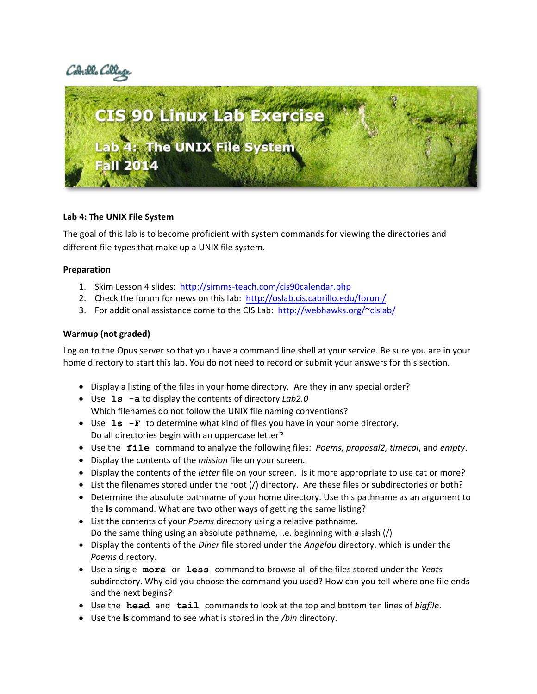



### **Lab 4: The UNIX File System**

The goal of this lab is to become proficient with system commands for viewing the directories and different file types that make up a UNIX file system.

### **Preparation**

- 1. Skim Lesson 4 slides: <http://simms-teach.com/cis90calendar.php>
- 2. Check the forum for news on this lab: <http://oslab.cis.cabrillo.edu/forum/>
- 3. For additional assistance come to the CIS Lab: <http://webhawks.org/~cislab/>

## **Warmup (not graded)**

Log on to the Opus server so that you have a command line shell at your service. Be sure you are in your home directory to start this lab. You do not need to record or submit your answers for this section.

- Display a listing of the files in your home directory. Are they in any special order?
- Use **ls -a** to display the contents of directory *Lab2.0* Which filenames do not follow the UNIX file naming conventions?
- Use **ls -F** to determine what kind of files you have in your home directory. Do all directories begin with an uppercase letter?
- Use the **file** command to analyze the following files: *Poems, proposal2, timecal*, and *empty*.
- Display the contents of the *mission* file on your screen.
- Display the contents of the *letter* file on your screen. Is it more appropriate to use cat or more?
- List the filenames stored under the root (/) directory. Are these files or subdirectories or both?
- Determine the absolute pathname of your home directory. Use this pathname as an argument to the **ls** command. What are two other ways of getting the same listing?
- List the contents of your *Poems* directory using a relative pathname. Do the same thing using an absolute pathname, i.e. beginning with a slash (/)
- Display the contents of the *Diner* file stored under the *Angelou* directory, which is under the *Poems* directory.
- Use a single **more** or **less** command to browse all of the files stored under the *Yeats* subdirectory. Why did you choose the command you used? How can you tell where one file ends and the next begins?
- Use the **head** and **tail** commands to look at the top and bottom ten lines of *bigfile*.
- Use the **ls** command to see what is stored in the */bin* directory.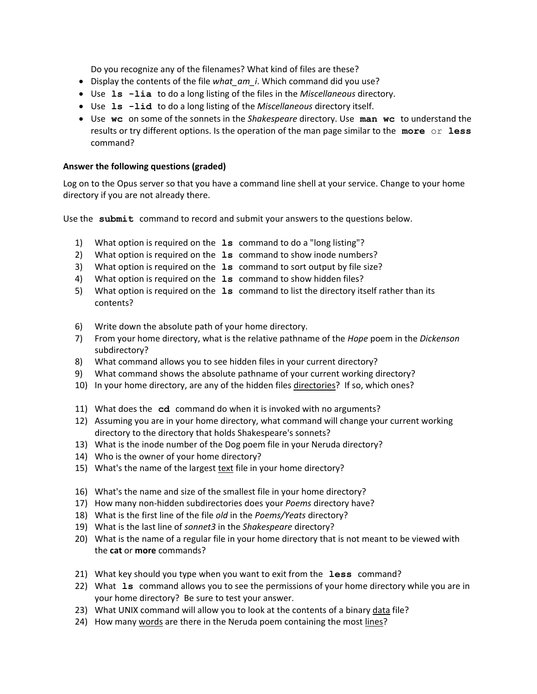Do you recognize any of the filenames? What kind of files are these?

- Display the contents of the file *what\_am\_i*. Which command did you use?
- Use **ls -lia** to do a long listing of the files in the *Miscellaneous* directory.
- Use **ls -lid** to do a long listing of the *Miscellaneous* directory itself.
- Use **wc** on some of the sonnets in the *Shakespeare* directory. Use **man wc** to understand the results or try different options. Is the operation of the man page similar to the **more** or **less** command?

# **Answer the following questions (graded)**

Log on to the Opus server so that you have a command line shell at your service. Change to your home directory if you are not already there.

Use the **submit** command to record and submit your answers to the questions below.

- 1) What option is required on the **ls** command to do a "long listing"?
- 2) What option is required on the **ls** command to show inode numbers?
- 3) What option is required on the **ls** command to sort output by file size?
- 4) What option is required on the **ls** command to show hidden files?
- 5) What option is required on the **ls** command to list the directory itself rather than its contents?
- 6) Write down the absolute path of your home directory.
- 7) From your home directory, what is the relative pathname of the *Hope* poem in the *Dickenson* subdirectory?
- 8) What command allows you to see hidden files in your current directory?
- 9) What command shows the absolute pathname of your current working directory?
- 10) In your home directory, are any of the hidden files directories? If so, which ones?
- 11) What does the **cd** command do when it is invoked with no arguments?
- 12) Assuming you are in your home directory, what command will change your current working directory to the directory that holds Shakespeare's sonnets?
- 13) What is the inode number of the Dog poem file in your Neruda directory?
- 14) Who is the owner of your home directory?
- 15) What's the name of the largest text file in your home directory?
- 16) What's the name and size of the smallest file in your home directory?
- 17) How many non-hidden subdirectories does your *Poems* directory have?
- 18) What is the first line of the file *old* in the *Poems/Yeats* directory?
- 19) What is the last line of *sonnet3* in the *Shakespeare* directory?
- 20) What is the name of a regular file in your home directory that is not meant to be viewed with the **cat** or **more** commands?
- 21) What key should you type when you want to exit from the **less** command?
- 22) What **ls** command allows you to see the permissions of your home directory while you are in your home directory? Be sure to test your answer.
- 23) What UNIX command will allow you to look at the contents of a binary data file?
- 24) How many words are there in the Neruda poem containing the most lines?